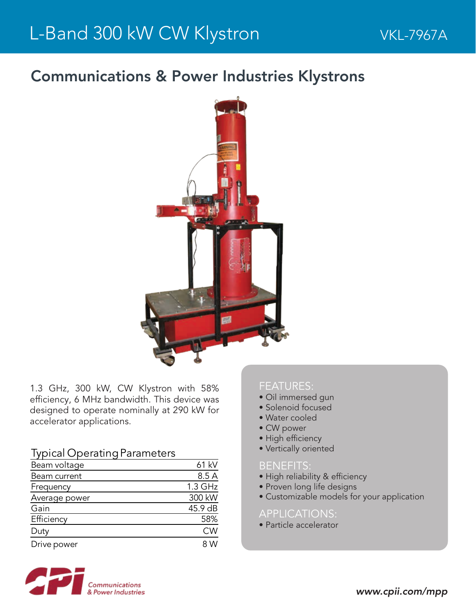## Communications & Power Industries Klystrons



1.3 GHz, 300 kW, CW Klystron with 58% efficiency, 6 MHz bandwidth. This device was designed to operate nominally at 290 kW for accelerator applications.

### Typical Operating Parameters

| Beam voltage  | 61 kV     |
|---------------|-----------|
| Beam current  | 8.5 A     |
| Frequency     | $1.3$ GHz |
| Average power | 300 kW    |
| Gain          | 45.9 dB   |
| Efficiency    | 58%       |
| Duty          | <b>CW</b> |
| Drive power   | 8 W       |
|               |           |

#### FEATURES:

- Oil immersed gun
- Solenoid focused
- Water cooled
- CW power
- High efficiency
- Vertically oriented

#### BENEFITS:

- High reliability & efficiency
- Proven long life designs
- Customizable models for your application

#### APPLICATIONS:

• Particle accelerator

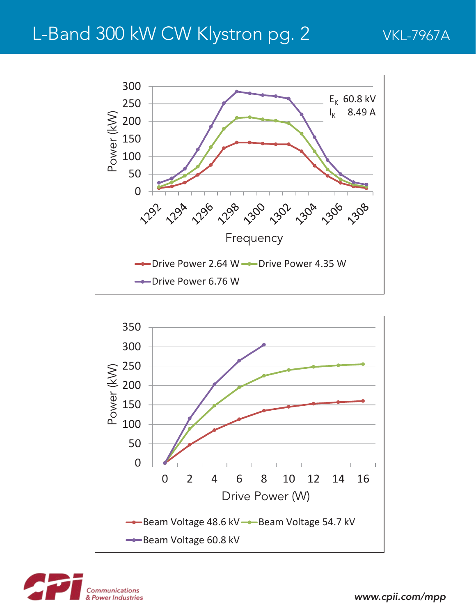# L-Band 300 kW CW Klystron pg. 2 VKL-7967A







*www.cpii.com/mpp*